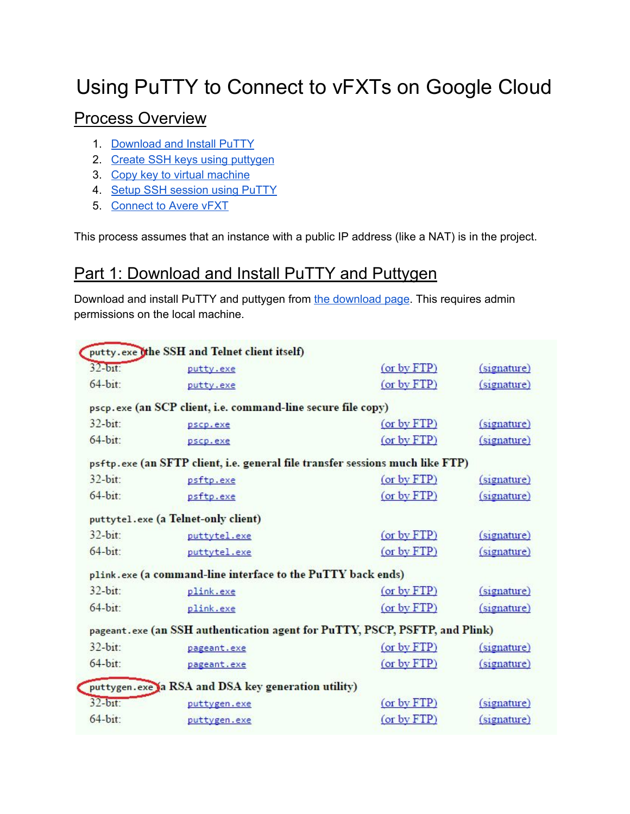# Using PuTTY to Connect to vFXTs on Google Cloud

#### Process Overview

- 1. [Download](#page-1-0) and Install PuTTY
- 2. Create SSH keys using [puttygen](#page-1-0)
- 3. Copy key to virtual [machine](#page-2-0)
- 4. Setup SSH [session](#page-4-0) using PuTTY
- 5. [Connect](#page-5-0) to Avere vFXT

This process assumes that an instance with a public IP address (like a NAT) is in the project.

### Part 1: Download and Install PuTTY and Puttygen

Download and install PuTTY and puttygen from the [download](http://www.chiark.greenend.org.uk/~sgtatham/putty/latest.html) page. This requires admin permissions on the local machine.

|                           | putty.exe othe SSH and Telnet client itself)                                  |                  |                  |
|---------------------------|-------------------------------------------------------------------------------|------------------|------------------|
| $32-b$ <sub>1</sub> $t$ : | putty.exe                                                                     | (or by FTP)      | (signature)      |
| $64-bit$ :                | putty.exe                                                                     | (or by FTP)      | $(s$ gnature $)$ |
|                           | pscp.exe (an SCP client, i.e. command-line secure file copy)                  |                  |                  |
| $32-bit$ :                | pscp.exe                                                                      | (or by FTP)      | $(s$ gnature $)$ |
| $64-bit$ :                | pscp.exe                                                                      | (or by FTP)      | (signature)      |
|                           | psftp.exe (an SFTP client, i.e. general file transfer sessions much like FTP) |                  |                  |
| $32-bit:$                 | psftp.exe                                                                     | $($ or by $FTP)$ | (signature)      |
| 64-bit:                   | psftp.exe                                                                     | (or by FTP)      | $(s$ gnature $)$ |
|                           | puttytel.exe (a Telnet-only client)                                           |                  |                  |
| $32-bit:$                 | puttytel.exe                                                                  | (or by FTP)      | (signature)      |
| $64-bit$ :                | puttytel.exe                                                                  | (or by FTP)      | (signature)      |
|                           | plink.exe (a command-line interface to the PuTTY back ends)                   |                  |                  |
| $32-bit$ :                | plink.exe                                                                     | (or by FTP)      | (signature)      |
| $64-bit:$                 | plink.exe                                                                     | (or by FTP)      | (signature)      |
|                           | pageant. exe (an SSH authentication agent for PuTTY, PSCP, PSFTP, and Plink)  |                  |                  |
| $32-bit$ :                | pageant.exe                                                                   | (or by FTP)      | $(s$ ignature)   |
| $64-bit$ :                | pageant.exe                                                                   | $($ or by $FTP)$ | $(s$ ignature)   |
|                           | puttygen.exe a RSA and DSA key generation utility)                            |                  |                  |
| $32-bat:$                 | puttygen.exe                                                                  | (or by FTP)      | (signature)      |
| $64-bit$ :                | puttygen.exe                                                                  | (or by FTP)      | $(s$ gnature $)$ |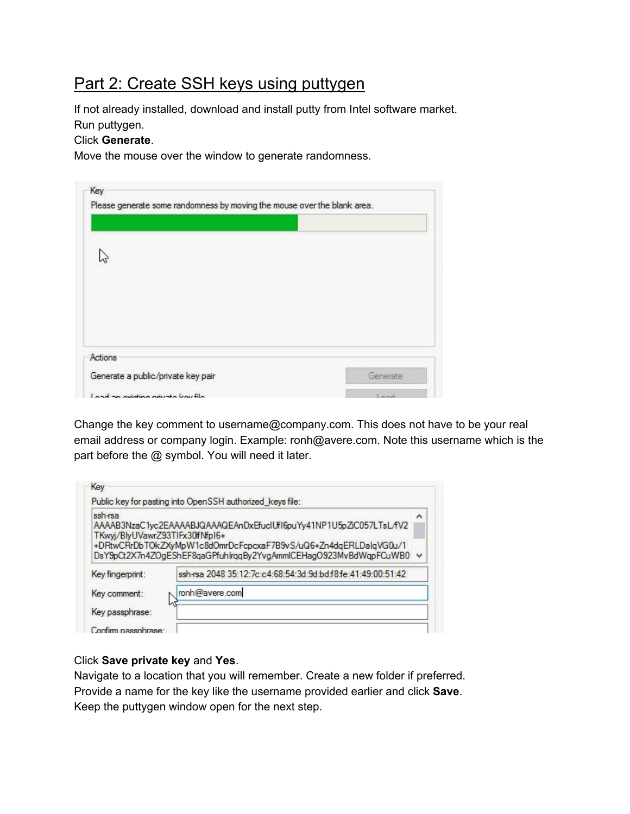### <span id="page-1-0"></span>Part 2: Create SSH keys using puttygen

If not already installed, download and install putty from Intel software market. Run puttygen.

#### Click **Generate**.

Move the mouse over the window to generate randomness.

| Actions<br>Generate a public/private key pair | Generate |
|-----------------------------------------------|----------|

Change the key comment to username@company.com. This does not have to be your real email address or company login. Example: ronh@avere.com. Note this username which is the part before the @ symbol. You will need it later.

| ssh-rsa<br>TKwyj/BlyUVawrZ93TIFx30ffNfpI6+ | AAAAB3NzaC1yc2EAAAABJQAAAQEAnDxEfuclUfI6puYy41NP1U5pZiC057LTsL/fV2                                                                    | ∧ |
|--------------------------------------------|---------------------------------------------------------------------------------------------------------------------------------------|---|
|                                            | +DRtwCRrDbTOkZXyMpW1c8dOmrDcFcpcxaF7B9vS/uQ6+Zn4dqERLDalqVG0u/1<br>DsY9pCt2X7n4ZOgEShEF8qaGPfuhlrqqBy2YvgAmmlCEHagO923MvBdWqpFCuWB0 v |   |
| Key fingerprint:                           | ssh-rsa 2048 35:12:7c:c4:68:54:3d:9d:bdf8fe:41:49:00:51:42                                                                            |   |
| Key comment:                               | ronh@avere.com                                                                                                                        |   |

#### Click **Save private key** and **Yes**.

Navigate to a location that you will remember. Create a new folder if preferred. Provide a name for the key like the username provided earlier and click **Save**. Keep the puttygen window open for the next step.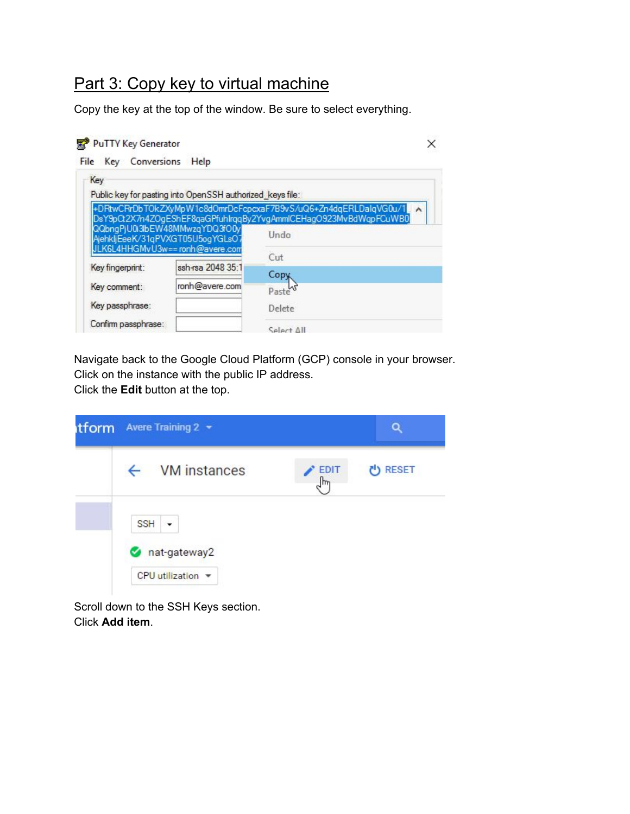### <span id="page-2-0"></span>Part 3: Copy key to virtual machine

Copy the key at the top of the window. Be sure to select everything.

| PuTTY Key Generator       |                                                                    |                                                                                                                                     |
|---------------------------|--------------------------------------------------------------------|-------------------------------------------------------------------------------------------------------------------------------------|
| File Key Conversions Help |                                                                    |                                                                                                                                     |
| Key                       |                                                                    |                                                                                                                                     |
|                           | Public key for pasting into OpenSSH authorized keys file:          |                                                                                                                                     |
|                           |                                                                    | +DRtwCRrDbTOkZXyMpW1c8dOmrDcFcpcxaF7B9vS/uQ6+Zn4dqERLDalqVG0u/1<br>DsY9pCt2X7n4ZOgEShEF8qaGPfuhlrqqBy2YvgAmmlCEHagO923MvBdWqpFCuWB0 |
|                           | QQbngPjU0i3lbEW48MMwzqYDQ3fO0y<br>AjehkljEeeK/31qPVXGT05U5ogYGLsO7 | Undo                                                                                                                                |
|                           | JLK6L4HHGMvU3w==ronh@avere.com                                     | Cut                                                                                                                                 |
| Key fingerprint:          | ssh-rsa 2048 35:1                                                  | Copy                                                                                                                                |
| Key comment:              | ronh@avere.com                                                     | Paste                                                                                                                               |
| Key passphrase:           |                                                                    | Delete                                                                                                                              |
| Confirm passphrase:       |                                                                    | IIA tale?                                                                                                                           |

Navigate back to the Google Cloud Platform (GCP) console in your browser. Click on the instance with the public IP address.

Click the **Edit** button at the top.

| itform | Avere Training 2 v                                   |                             |                |
|--------|------------------------------------------------------|-----------------------------|----------------|
|        | $\leftarrow$ VM instances                            | <b>EDIT</b><br>$\mathbb{R}$ | <b>ひ RESET</b> |
|        | <b>SSH</b><br>٠<br>nat-gateway2<br>CPU utilization = |                             |                |

Scroll down to the SSH Keys section. Click **Add item**.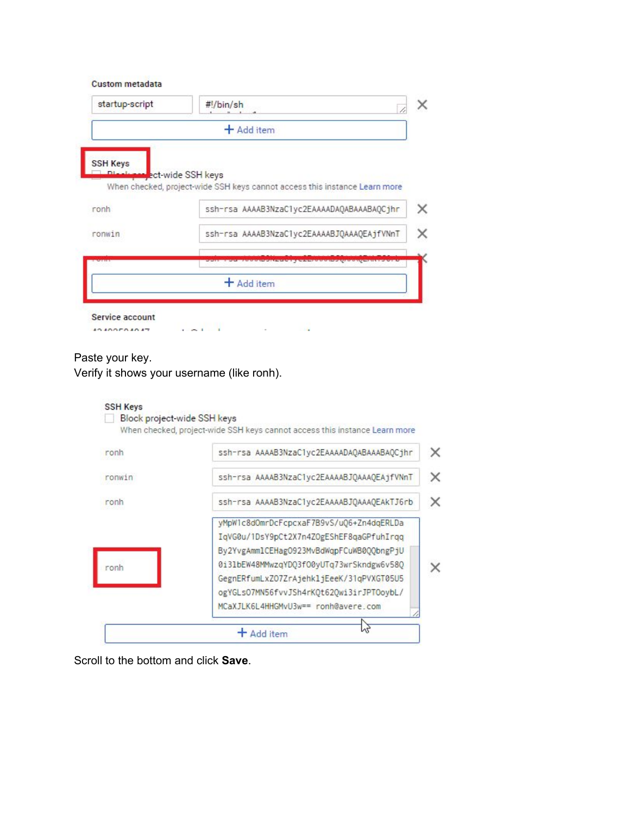| <b>Custom metadata</b> |
|------------------------|

|                 | + Add item                                                                                                                                                                                                                                       |
|-----------------|--------------------------------------------------------------------------------------------------------------------------------------------------------------------------------------------------------------------------------------------------|
| <b>SSH Keys</b> |                                                                                                                                                                                                                                                  |
|                 | ect-wide SSH keys<br>When checked, project-wide SSH keys cannot access this instance Learn more                                                                                                                                                  |
| ronh            | ssh-rsa AAAAB3NzaC1yc2EAAAADAQABAAABAQCjhr                                                                                                                                                                                                       |
| ronwin          | ssh-rsa AAAAB3NzaClyc2EAAAABJQAAAQEAjfVNnT                                                                                                                                                                                                       |
|                 | <b><i><u>Product the Contract of the Contract of State Contract of the Contract of the Contract of the Contract of the Contract of the Contract of the Contract of the Contract of the Contract of the Contract of the Contract of t</u></i></b> |
|                 | + Add item                                                                                                                                                                                                                                       |

#### Paste your key.

Verify it shows your username (like ronh).



Scroll to the bottom and click **Save**.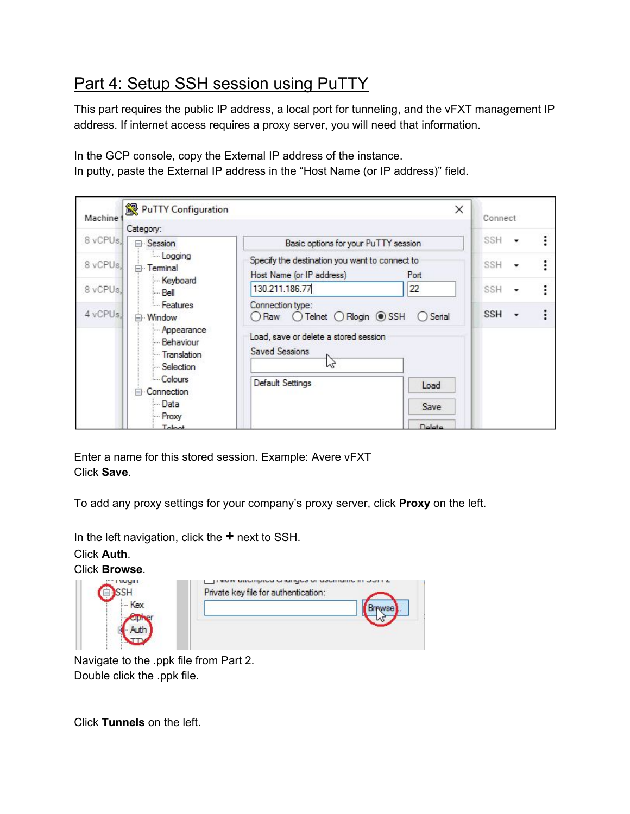## <span id="page-4-0"></span>Part 4: Setup SSH session using PuTTY

This part requires the public IP address, a local port for tunneling, and the vFXT management IP address. If internet access requires a proxy server, you will need that information.

In the GCP console, copy the External IP address of the instance. In putty, paste the External IP address in the "Host Name (or IP address)" field.

| Machine  | PuTTY Configuration                                   |                                                                             | ×             | Connect                                |  |
|----------|-------------------------------------------------------|-----------------------------------------------------------------------------|---------------|----------------------------------------|--|
|          | Category:                                             |                                                                             |               |                                        |  |
| 8 vCPUs. | <b>⊟</b> Session                                      | Basic options for your PuTTY session                                        |               | $SSH -$                                |  |
| 8 vCPUs, | Logging<br>Terminal<br>Θ.<br>Keyboard                 | Specify the destination you want to connect to<br>Host Name (or IP address) | Port          | <b>SSH</b><br>$\overline{\phantom{a}}$ |  |
| 8 vCPUs, | l— Bell                                               | 130.211.186.77                                                              | 22            | SSH                                    |  |
| 4 vCPUs. | - Features<br>⊟ Window                                | Connection type:<br>ORaw OTelnet ORlogin ● SSH                              | $O$ Serial    | <b>SSH</b>                             |  |
|          | Appearance<br>- Behaviour<br>Translation<br>Selection | Load, save or delete a stored session<br><b>Saved Sessions</b><br>M         |               |                                        |  |
|          | Colours<br><b>E</b> Connection                        | Default Settings                                                            | Load          |                                        |  |
|          | - Data                                                |                                                                             | Save          |                                        |  |
|          | - Proxy<br>Tolpot                                     |                                                                             | <b>Nelete</b> |                                        |  |

Enter a name for this stored session. Example: Avere vFXT Click **Save**.

To add any proxy settings for your company's proxy server, click **Proxy** on the left.

In the left navigation, click the **+** next to SSH.

Click **Auth**.

Click **Browse**.



Navigate to the .ppk file from Part 2. Double click the .ppk file.

Click **Tunnels** on the left.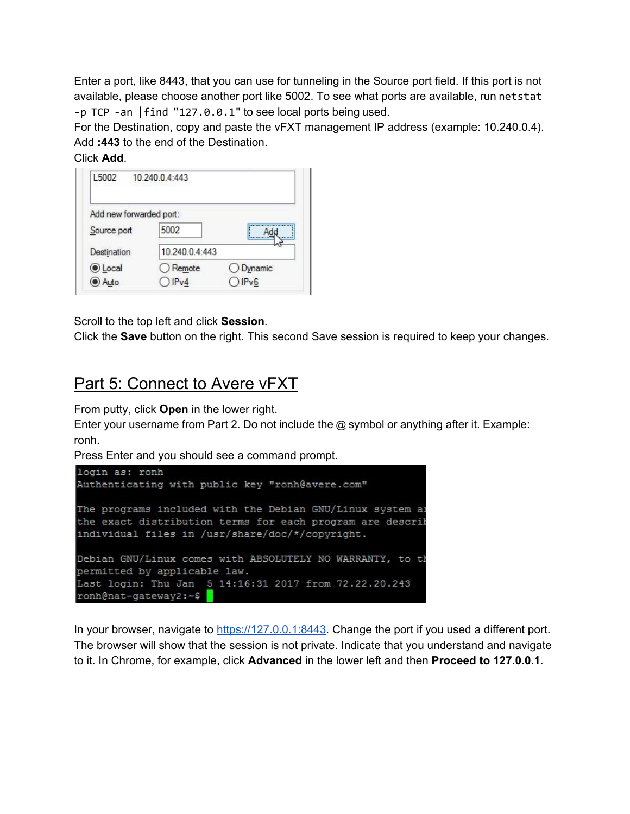Enter a port, like 8443, that you can use for tunneling in the Source port field. If this port is not available, please choose another port like 5002. To see what ports are available, run netstat -p TCP -an |find "127.0.0.1" to see local ports being used.

For the Destination, copy and paste the vFXT management IP address (example: 10.240.0.4). Add **:443** to the end of the Destination.

Click **Add**.

| L5002                   | 10.240.0.4:443    |           |
|-------------------------|-------------------|-----------|
| Add new forwarded port: |                   |           |
| Source port             | 5002              |           |
| Destination             | 10.240.0.4:443    |           |
| <b>OLocal</b>           | $\bigcirc$ Remote | O Dynamic |
| Auto                    | IPv4              | IPv6      |

Scroll to the top left and click **Session**.

Click the **Save** button on the right. This second Save session is required to keep your changes.

### <span id="page-5-0"></span>Part 5: Connect to Avere vFXT

From putty, click **Open** in the lower right.

Enter your username from Part 2. Do not include the @ symbol or anything after it. Example: ronh.

Press Enter and you should see a command prompt.

```
login as: ronh
Authenticating with public key "ronh@avere.com"
The programs included with the Debian GNU/Linux system as
the exact distribution terms for each program are describ
individual files in /usr/share/doc/*/copyright.
Debian GNU/Linux comes with ABSOLUTELY NO WARRANTY, to th
permitted by applicable law.
Last login: Thu Jan 5 14:16:31 2017 from 72.22.20.243
ronh@nat-gateway2:~$
```
In your browser, navigate to [https://127.0.0.1:8443](https://127.0.0.1:8443/). Change the port if you used a different port. The browser will show that the session is not private. Indicate that you understand and navigate to it. In Chrome, for example, click **Advanced** in the lower left and then **Proceed to 127.0.0.1**.